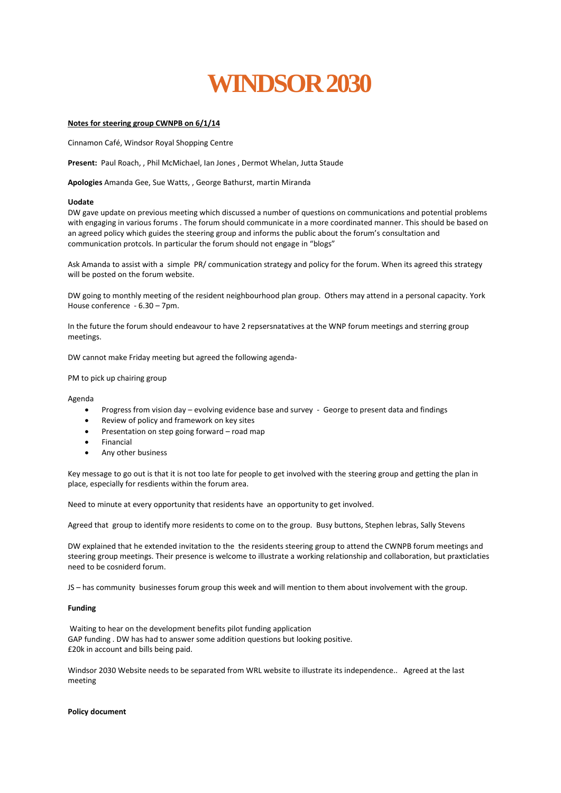# **[WINDSOR 2030](http://cwnpb.org/)**

# **Notes for steering group CWNPB on 6/1/14**

Cinnamon Café, Windsor Royal Shopping Centre

**Present:** Paul Roach, , Phil McMichael, Ian Jones , Dermot Whelan, Jutta Staude

**Apologies** Amanda Gee, Sue Watts, , George Bathurst, martin Miranda

#### **Uodate**

DW gave update on previous meeting which discussed a number of questions on communications and potential problems with engaging in various forums . The forum should communicate in a more coordinated manner. This should be based on an agreed policy which guides the steering group and informs the public about the forum's consultation and communication protcols. In particular the forum should not engage in "blogs"

Ask Amanda to assist with a simple PR/ communication strategy and policy for the forum. When its agreed this strategy will be posted on the forum website.

DW going to monthly meeting of the resident neighbourhood plan group. Others may attend in a personal capacity. York House conference - 6.30 – 7pm.

In the future the forum should endeavour to have 2 repsersnatatives at the WNP forum meetings and sterring group meetings.

DW cannot make Friday meeting but agreed the following agenda-

PM to pick up chairing group

Agenda

- Progress from vision day evolving evidence base and survey George to present data and findings
- Review of policy and framework on key sites
- Presentation on step going forward road map
- Financial
- Any other business

Key message to go out is that it is not too late for people to get involved with the steering group and getting the plan in place, especially for resdients within the forum area.

Need to minute at every opportunity that residents have an opportunity to get involved.

Agreed that group to identify more residents to come on to the group. Busy buttons, Stephen lebras, Sally Stevens

DW explained that he extended invitation to the the residents steering group to attend the CWNPB forum meetings and steering group meetings. Their presence is welcome to illustrate a working relationship and collaboration, but praxticlaties need to be cosniderd forum.

JS – has community businesses forum group this week and will mention to them about involvement with the group.

#### **Funding**

Waiting to hear on the development benefits pilot funding application GAP funding . DW has had to answer some addition questions but looking positive. £20k in account and bills being paid.

Windsor 2030 Website needs to be separated from WRL website to illustrate its independence.. Agreed at the last meeting

#### **Policy document**